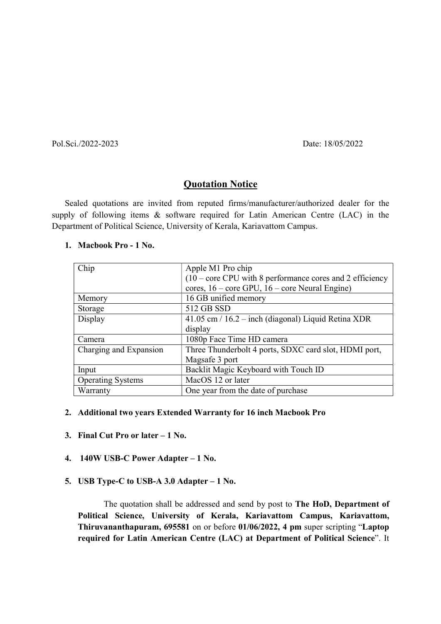Pol.Sci./2022-2023 Date: 18/05/2022

## **Quotation Notice**

Sealed quotations are invited from reputed firms/manufacturer/authorized dealer for the supply of following items & software required for Latin American Centre (LAC) in the Department of Political Science, University of Kerala, Kariavattom Campus.

## 1. Macbook Pro - 1 No.

| Chip                     | Apple M1 Pro chip                                           |
|--------------------------|-------------------------------------------------------------|
|                          | $(10 - core CPU with 8 performance cores and 2 efficiency)$ |
|                          | cores, $16$ – core GPU, $16$ – core Neural Engine)          |
| Memory                   | 16 GB unified memory                                        |
| Storage                  | 512 GB SSD                                                  |
| Display                  | 41.05 cm / 16.2 – inch (diagonal) Liquid Retina XDR         |
|                          | display                                                     |
| Camera                   | 1080p Face Time HD camera                                   |
| Charging and Expansion   | Three Thunderbolt 4 ports, SDXC card slot, HDMI port,       |
|                          | Magsafe 3 port                                              |
| Input                    | Backlit Magic Keyboard with Touch ID                        |
| <b>Operating Systems</b> | MacOS 12 or later                                           |
| Warranty                 | One year from the date of purchase                          |

## 2. Additional two years Extended Warranty for 16 inch Macbook Pro

- 3. Final Cut Pro or later 1 No.
- 4. 140W USB-C Power Adapter 1 No.
- 5. USB Type-C to USB-A 3.0 Adapter 1 No.

The quotation shall be addressed and send by post to The HoD, Department of Political Science, University of Kerala, Kariavattom Campus, Kariavattom, Thiruvananthapuram, 695581 on or before 01/06/2022, 4 pm super scripting "Laptop required for Latin American Centre (LAC) at Department of Political Science". It